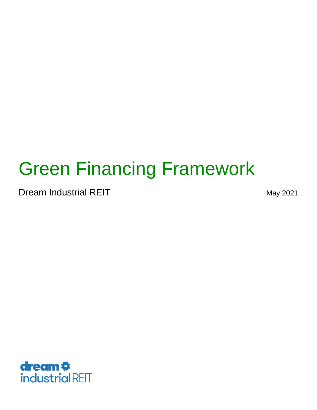# Green Financing Framework

Dream Industrial REIT May 2021

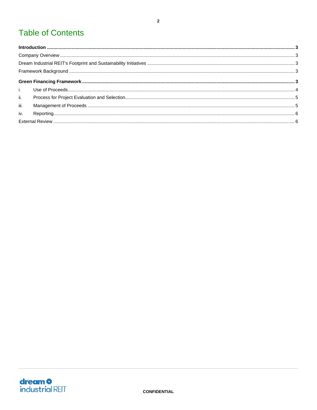## **Table of Contents**

| $\ddot{\mathbf{u}}$ . |  |  |  |  |
|-----------------------|--|--|--|--|
| iii.                  |  |  |  |  |
| iv.                   |  |  |  |  |
|                       |  |  |  |  |

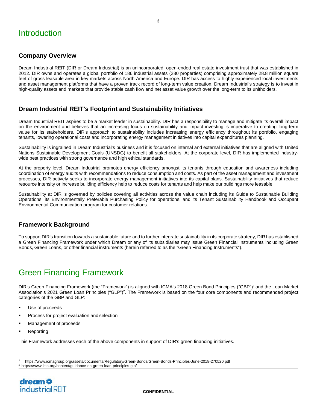#### <span id="page-2-1"></span><span id="page-2-0"></span>**Company Overview**

Dream Industrial REIT (DIR or Dream Industrial) is an unincorporated, open-ended real estate investment trust that was established in 2012. DIR owns and operates a global portfolio of 186 industrial assets (280 properties) comprising approximately 28.8 million square feet of gross leasable area in key markets across North America and Europe. DIR has access to highly experienced local investments and asset management platforms that have a proven track record of long-term value creation. Dream Industrial's strategy is to invest in high-quality assets and markets that provide stable cash flow and net asset value growth over the long-term to its unitholders.

#### <span id="page-2-2"></span>**Dream Industrial REIT's Footprint and Sustainability Initiatives**

Dream Industrial REIT aspires to be a market leader in sustainability. DIR has a responsibility to manage and mitigate its overall impact on the environment and believes that an increasing focus on sustainability and impact investing is imperative to creating long-term value for its stakeholders. DIR's approach to sustainability includes increasing energy efficiency throughout its portfolio, engaging tenants, lowering operational costs and incorporating energy management initiatives into capital expenditures planning.

Sustainability is ingrained in Dream Industrial's business and it is focused on internal and external initiatives that are aligned with United Nations Sustainable Development Goals (UNSDG) to benefit all stakeholders. At the corporate level, DIR has implemented industrywide best practices with strong governance and high ethical standards.

At the property level, Dream Industrial promotes energy efficiency amongst its tenants through education and awareness including coordination of energy audits with recommendations to reduce consumption and costs. As part of the asset management and investment processes, DIR actively seeks to incorporate energy management initiatives into its capital plans. Sustainability initiatives that reduce resource intensity or increase building efficiency help to reduce costs for tenants and help make our buildings more leasable.

Sustainability at DIR is governed by policies covering all activities across the value chain including its Guide to Sustainable Building Operations, its Environmentally Preferable Purchasing Policy for operations, and its Tenant Sustainability Handbook and Occupant Environmental Communication program for customer relations.

#### <span id="page-2-3"></span>**Framework Background**

To support DIR's transition towards a sustainable future and to further integrate sustainability in its corporate strategy, DIR has established a Green Financing Framework under which Dream or any of its subsidiaries may issue Green Financial Instruments including Green Bonds, Green Loans, or other financial instruments (herein referred to as the "Green Financing Instruments").

### <span id="page-2-4"></span>Green Financing Framework

DIR's Green Financing Framework (the "Framework") is aligned with ICMA's 2018 Green Bond Principles ("GBP"[\)1](#page-2-5) and the Loan Market Association's 2021 Green Loan Principles ("GLP")<sup>2</sup>. The Framework is based on the four core components and recommended project categories of the GBP and GLP:

- Use of proceeds
- Process for project evaluation and selection
- Management of proceeds
- Reporting

This Framework addresses each of the above components in support of DIR's green financing initiatives.

<span id="page-2-6"></span><span id="page-2-5"></span>1 https[://www.icmagroup.org/assets/documents/Regulatory/Green-Bonds/Green-Bonds-Principles-June-2018-270520.pdf](http://www.icmagroup.org/assets/documents/Regulatory/Green-Bonds/Green-Bonds-Principles-June-2018-270520.pdf) 2 https:[//www.lsta.org/content/guidance-on-green-loan-principles-glp/](http://www.lsta.org/content/guidance-on-green-loan-principles-glp/)

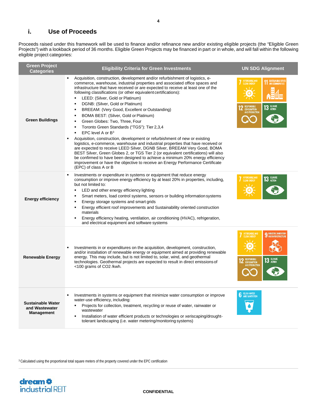#### <span id="page-3-0"></span>**i. Use of Proceeds**

Proceeds raised under this framework will be used to finance and/or refinance new and/or existing eligible projects (the "Eligible Green Projects") with a lookback period of 36 months. Eligible Green Projects may be financed in part or in whole, and will fall within the following eligible project categories:

| <b>Green Project</b><br><b>Categories</b>                       | <b>Eligibility Criteria for Green Investments</b>                                                                                                                                                                                                                                                                                                                                                                                                                                                                                                                                                                                                                                                                                                                                                                                                                                                                                                                                                                                                                                                                                                                                                                                                            | <b>UN SDG Alignment</b>                                                                                                                                    |
|-----------------------------------------------------------------|--------------------------------------------------------------------------------------------------------------------------------------------------------------------------------------------------------------------------------------------------------------------------------------------------------------------------------------------------------------------------------------------------------------------------------------------------------------------------------------------------------------------------------------------------------------------------------------------------------------------------------------------------------------------------------------------------------------------------------------------------------------------------------------------------------------------------------------------------------------------------------------------------------------------------------------------------------------------------------------------------------------------------------------------------------------------------------------------------------------------------------------------------------------------------------------------------------------------------------------------------------------|------------------------------------------------------------------------------------------------------------------------------------------------------------|
| <b>Green Buildings</b>                                          | Acquisition, construction, development and/or refurbishment of logistics, e-<br>commerce, warehouse, industrial properties and associated office spaces and<br>infrastructure that have received or are expected to receive at least one of the<br>following classifications (or other equivalent certifications):<br>LEED: (Silver, Gold or Platinum)<br>$\blacksquare$<br>DGNB: (Silver, Gold or Platinum)<br>$\blacksquare$<br>BREEAM: (Very Good, Excellent or Outstanding)<br>$\blacksquare$<br>BOMA BEST: (Silver, Gold or Platinum)<br>$\blacksquare$<br>Green Globes: Two, Three, Four<br>$\blacksquare$<br>Toronto Green Standards ("TGS"): Tier 2,3,4<br>$\blacksquare$<br>EPC level A or $B^3$<br>$\blacksquare$<br>Acquisition, construction, development or refurbishment of new or existing<br>logistics, e-commerce, warehouse and industrial properties that have received or<br>are expected to receive LEED Silver, DGNB Silver, BREEAM Very Good, BOMA<br>BEST Silver, Green Globes 2, or TGS Tier 2 (or equivalent certifications) will also<br>be confirmed to have been designed to achieve a minimum 20% energy efficiency<br>improvement or have the objective to receive an Energy Performance Certificate<br>(EPC) of class A or B | AFFORDABLE AND<br>CLEAN ENERGY<br><b>11 SUSTAINABLE CITIES</b><br>$\sqrt{17}$<br><b>13 CLIMATE</b><br>RESPONSIBLE<br><b>CONSUMPTION<br/>AND PRODUCTION</b> |
| <b>Energy efficiency</b>                                        | Investments or expenditure in systems or equipment that reduce energy<br>consumption or improve energy efficiency by at least 20% in properties, including,<br>but not limited to:<br>LED and other energy efficiency lighting<br>$\blacksquare$<br>Smart meters, load control systems, sensors or building information systems<br>$\blacksquare$<br>Energy storage systems and smart grids<br>$\blacksquare$<br>Energy efficient roof improvements and Sustainability oriented construction<br>$\blacksquare$<br>materials<br>Energy efficiency heating, ventilation, air conditioning (HVAC), refrigeration,<br>$\blacksquare$<br>and electrical equipment and software systems                                                                                                                                                                                                                                                                                                                                                                                                                                                                                                                                                                            | AFFORDABLE AND<br>CLEAN ENERGY<br><b>CLIMATE</b><br>13<br><b>ACTION</b><br>$\sqrt{17}$                                                                     |
| <b>Renewable Energy</b>                                         | Investments in or expenditures on the acquisition, development, construction,<br>and/or installation of renewable energy or equipment aimed at providing renewable<br>energy. This may include, but is not limited to, solar, wind, and geothermal<br>technologies. Geothermal projects are expected to result in direct emissions of<br><100 grams of CO2 /kwh.                                                                                                                                                                                                                                                                                                                                                                                                                                                                                                                                                                                                                                                                                                                                                                                                                                                                                             | AFFORDABLE AND<br>INDUSTRY, INNOVATION<br><b>CLEAN ENERGY</b><br>AND INFRASTRUCTURE<br>13 CLIMATE<br>RESPONSIBLE<br>Consumption<br><b>AND PRODUCTION</b>   |
| <b>Sustainable Water</b><br>and Wastewater<br><b>Management</b> | Investments in systems or equipment that minimize water consumption or improve<br>٠<br>water-use efficiency, including:<br>Projects for collection, treatment, recycling or reuse of water, rainwater or<br>wastewater<br>Installation of water efficient products or technologies or xeriscaping/drought-<br>$\blacksquare$<br>tolerant landscaping (i.e. water metering/monitoring systems)                                                                                                                                                                                                                                                                                                                                                                                                                                                                                                                                                                                                                                                                                                                                                                                                                                                                | <b>CLEAN WATER</b><br><b>AND SANITATION</b>                                                                                                                |

<span id="page-3-1"></span><sup>3</sup> Calculated using the proportional total square meters of the property covered under the EPC certification

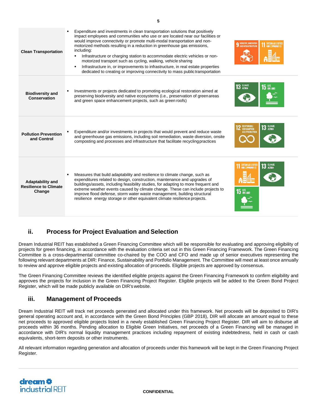| <b>Clean Transportation</b>                                       | Expenditure and investments in clean transportation solutions that positively<br>impact employees and communities who use or are located near our facilities or<br>would improve connectivity or promote multi-modal transportation and non-<br>motorized methods resulting in a reduction in greenhouse gas emissions,<br>including:<br>Infrastructure or charging station to accommodate electric vehicles or non-<br>٠<br>motorized transport such as cycling, walking, vehicle sharing<br>Infrastructure in, or improvements to infrastructure, in real estate properties<br>dedicated to creating or improving connectivity to mass public transportation | 9 INDUSTRY, INNOVATION<br>AND COMMUNITY                                           |
|-------------------------------------------------------------------|----------------------------------------------------------------------------------------------------------------------------------------------------------------------------------------------------------------------------------------------------------------------------------------------------------------------------------------------------------------------------------------------------------------------------------------------------------------------------------------------------------------------------------------------------------------------------------------------------------------------------------------------------------------|-----------------------------------------------------------------------------------|
| <b>Biodiversity and</b><br>Conservation                           | Investments or projects dedicated to promoting ecological restoration aimed at<br>preserving biodiversity and native ecosystems (i.e., preservation of green areas<br>and green space enhancement projects, such as green roofs)                                                                                                                                                                                                                                                                                                                                                                                                                               | $13$ GLIMATE<br>$15$ an land                                                      |
| <b>Pollution Prevention</b><br>and Control                        | Expenditure and/or investments in projects that would prevent and reduce waste<br>and greenhouse gas emissions, including soil remediation, waste diversion, onsite<br>composting and processes and infrastructure that facilitate recycling practices                                                                                                                                                                                                                                                                                                                                                                                                         | 13 CLIMATE<br><b>RESPONSIBLE</b><br><b>CONSUMPTION</b><br>AND PRODUCTION          |
| <b>Adaptability and</b><br><b>Resilience to Climate</b><br>Change | Measures that build adaptability and resilience to climate change, such as<br>expenditures related to design, construction, maintenance and upgrades of<br>buildings/assets, including feasibility studies, for adapting to more frequent and<br>extreme weather events caused by climate change. These can include projects to<br>improve flood defense, storm water waste management, building structural<br>resilience energy storage or other equivalent climate resilience projects.                                                                                                                                                                      | <b>13 CLIMATE</b><br><b>SUSTAINABLE CITIES</b><br>AND COMMUNITIES<br>$15$ an land |

#### <span id="page-4-0"></span>**ii. Process for Project Evaluation and Selection**

Dream Industrial REIT has established a Green Financing Committee which will be responsible for evaluating and approving eligibility of projects for green financing, in accordance with the evaluation criteria set out in this Green Financing Framework. The Green Financing Committee is a cross-departmental committee co-chaired by the COO and CFO and made up of senior executives representing the following relevant departments at DIR: Finance, Sustainability and Portfolio Management. The Committee will meet at least once annually to review and approve eligible projects and existing allocation of proceeds. Eligible projects are approved by consensus.

The Green Financing Committee reviews the identified eligible projects against the Green Financing Framework to confirm eligibility and approves the projects for inclusion in the Green Financing Project Register. Eligible projects will be added to the Green Bond Project Register, which will be made publicly available on DIR'swebsite.

#### <span id="page-4-1"></span>**iii. Management of Proceeds**

Dream Industrial REIT will track net proceeds generated and allocated under this framework. Net proceeds will be deposited to DIR's general operating account and, in accordance with the Green Bond Principles (GBP 2018), DIR will allocate an amount equal to these net proceeds to approved eligible projects listed in a newly established Green Financing Project Register. DIR will aim to disburse all proceeds within 36 months. Pending allocation to Eligible Green Initiatives, net proceeds of a Green Financing will be managed in accordance with DIR's normal liquidity management practices including repayment of existing indebtedness, held in cash or cash equivalents, short-term deposits or other instruments.

All relevant information regarding generation and allocation of proceeds under this framework will be kept in the Green Financing Project Register.